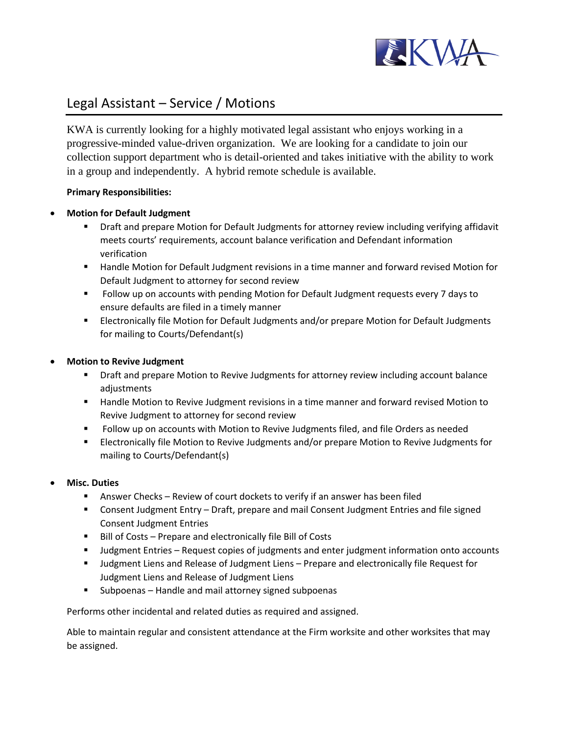

# Legal Assistant – Service / Motions

KWA is currently looking for a highly motivated legal assistant who enjoys working in a progressive-minded value-driven organization. We are looking for a candidate to join our collection support department who is detail-oriented and takes initiative with the ability to work in a group and independently. A hybrid remote schedule is available.

## **Primary Responsibilities:**

## • **Motion for Default Judgment**

- Draft and prepare Motion for Default Judgments for attorney review including verifying affidavit meets courts' requirements, account balance verification and Defendant information verification
- Handle Motion for Default Judgment revisions in a time manner and forward revised Motion for Default Judgment to attorney for second review
- Follow up on accounts with pending Motion for Default Judgment requests every 7 days to ensure defaults are filed in a timely manner
- **Example 2** Electronically file Motion for Default Judgments and/or prepare Motion for Default Judgments for mailing to Courts/Defendant(s)

## • **Motion to Revive Judgment**

- Draft and prepare Motion to Revive Judgments for attorney review including account balance adjustments
- Handle Motion to Revive Judgment revisions in a time manner and forward revised Motion to Revive Judgment to attorney for second review
- Follow up on accounts with Motion to Revive Judgments filed, and file Orders as needed
- Electronically file Motion to Revive Judgments and/or prepare Motion to Revive Judgments for mailing to Courts/Defendant(s)

#### • **Misc. Duties**

- **EXEC** Answer Checks Review of court dockets to verify if an answer has been filed
- Consent Judgment Entry Draft, prepare and mail Consent Judgment Entries and file signed Consent Judgment Entries
- Bill of Costs Prepare and electronically file Bill of Costs
- Judgment Entries Request copies of judgments and enter judgment information onto accounts
- Judgment Liens and Release of Judgment Liens Prepare and electronically file Request for Judgment Liens and Release of Judgment Liens
- Subpoenas Handle and mail attorney signed subpoenas

Performs other incidental and related duties as required and assigned.

Able to maintain regular and consistent attendance at the Firm worksite and other worksites that may be assigned.